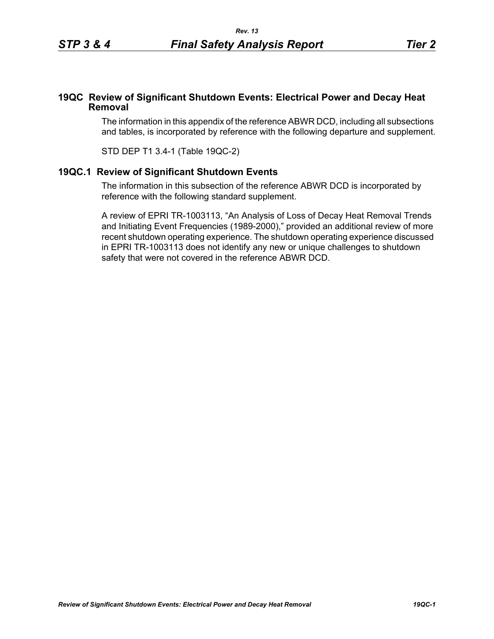## **19QC Review of Significant Shutdown Events: Electrical Power and Decay Heat Removal**

The information in this appendix of the reference ABWR DCD, including all subsections and tables, is incorporated by reference with the following departure and supplement.

STD DEP T1 3.4-1 (Table 19QC-2)

## **19QC.1 Review of Significant Shutdown Events**

The information in this subsection of the reference ABWR DCD is incorporated by reference with the following standard supplement.

A review of EPRI TR-1003113, "An Analysis of Loss of Decay Heat Removal Trends and Initiating Event Frequencies (1989-2000)," provided an additional review of more recent shutdown operating experience. The shutdown operating experience discussed in EPRI TR-1003113 does not identify any new or unique challenges to shutdown safety that were not covered in the reference ABWR DCD.